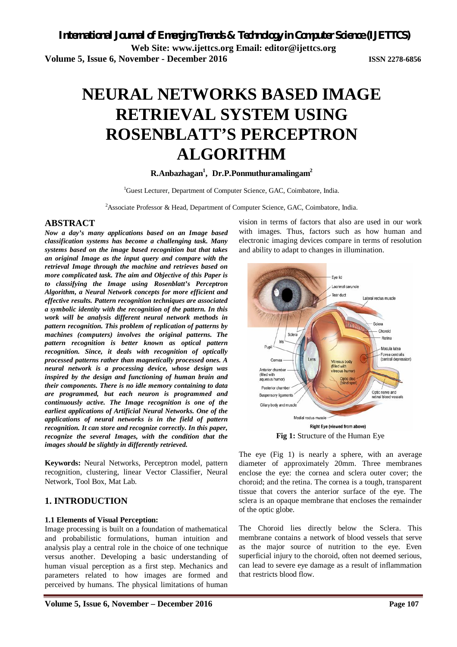# **NEURAL NETWORKS BASED IMAGE RETRIEVAL SYSTEM USING ROSENBLATT'S PERCEPTRON ALGORITHM**

## **R.Anbazhagan<sup>1</sup> , Dr.P.Ponmuthuramalingam<sup>2</sup>**

<sup>1</sup>Guest Lecturer, Department of Computer Science, GAC, Coimbatore, India.

<sup>2</sup>Associate Professor & Head, Department of Computer Science, GAC, Coimbatore, India.

## **ABSTRACT**

*Now a day's many applications based on an Image based classification systems has become a challenging task. Many systems based on the image based recognition but that takes an original Image as the input query and compare with the retrieval Image through the machine and retrieves based on more complicated task. The aim and Objective of this Paper is to classifying the Image using Rosenblatt's Perceptron Algorithm, a Neural Network concepts for more efficient and effective results. Pattern recognition techniques are associated a symbolic identity with the recognition of the pattern. In this work will be analysis different neural network methods in pattern recognition. This problem of replication of patterns by machines (computers) involves the original patterns. The pattern recognition is better known as optical pattern recognition. Since, it deals with recognition of optically processed patterns rather than magnetically processed ones. A neural network is a processing device, whose design was inspired by the design and functioning of human brain and their components. There is no idle memory containing to data are programmed, but each neuron is programmed and continuously active. The Image recognition is one of the earliest applications of Artificial Neural Networks. One of the applications of neural networks is in the field of pattern recognition. It can store and recognize correctly. In this paper, recognize the several Images, with the condition that the images should be slightly in differently retrieved.*

**Keywords:** Neural Networks, Perceptron model, pattern recognition, clustering, linear Vector Classifier, Neural Network, Tool Box, Mat Lab.

## **1. INTRODUCTION**

#### **1.1 Elements of Visual Perception:**

Image processing is built on a foundation of mathematical and probabilistic formulations, human intuition and analysis play a central role in the choice of one technique versus another. Developing a basic understanding of human visual perception as a first step. Mechanics and parameters related to how images are formed and perceived by humans. The physical limitations of human

vision in terms of factors that also are used in our work with images. Thus, factors such as how human and electronic imaging devices compare in terms of resolution and ability to adapt to changes in illumination.



The eye (Fig 1) is nearly a sphere, with an average diameter of approximately 20mm. Three membranes enclose the eye: the cornea and sclera outer cover; the choroid; and the retina. The cornea is a tough, transparent tissue that covers the anterior surface of the eye. The sclera is an opaque membrane that encloses the remainder of the optic globe.

The Choroid lies directly below the Sclera. This membrane contains a network of blood vessels that serve as the major source of nutrition to the eye. Even superficial injury to the choroid, often not deemed serious, can lead to severe eye damage as a result of inflammation that restricts blood flow.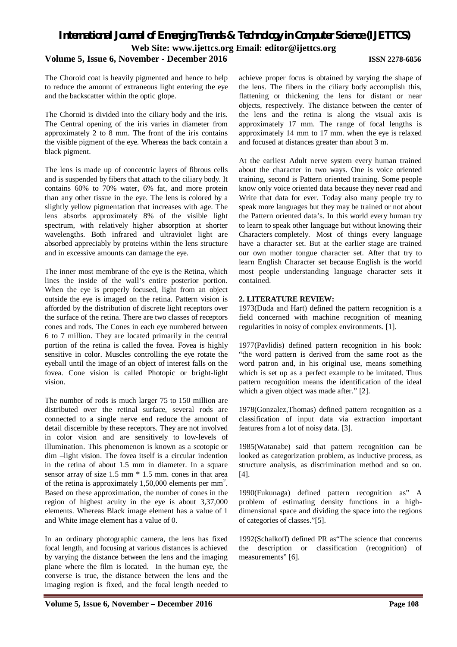### **Volume 5, Issue 6, November - December 2016 ISSN 2278-6856**

The Choroid coat is heavily pigmented and hence to help to reduce the amount of extraneous light entering the eye and the backscatter within the optic glope.

The Choroid is divided into the ciliary body and the iris. The Central opening of the iris varies in diameter from approximately 2 to 8 mm. The front of the iris contains the visible pigment of the eye. Whereas the back contain a black pigment.

The lens is made up of concentric layers of fibrous cells and is suspended by fibers that attach to the ciliary body. It contains 60% to 70% water, 6% fat, and more protein than any other tissue in the eye. The lens is colored by a slightly yellow pigmentation that increases with age. The lens absorbs approximately 8% of the visible light spectrum, with relatively higher absorption at shorter wavelengths. Both infrared and ultraviolet light are absorbed appreciably by proteins within the lens structure and in excessive amounts can damage the eye.

The inner most membrane of the eye is the Retina, which lines the inside of the wall's entire posterior portion. When the eye is properly focused, light from an object outside the eye is imaged on the retina. Pattern vision is afforded by the distribution of discrete light receptors over the surface of the retina. There are two classes of receptors cones and rods. The Cones in each eye numbered between 6 to 7 million. They are located primarily in the central portion of the retina is called the fovea. Fovea is highly sensitive in color. Muscles controlling the eye rotate the eyeball until the image of an object of interest falls on the fovea. Cone vision is called Photopic or bright-light vision.

The number of rods is much larger 75 to 150 million are distributed over the retinal surface, several rods are connected to a single nerve end reduce the amount of detail discernible by these receptors. They are not involved in color vision and are sensitively to low-levels of illumination. This phenomenon is known as a scotopic or dim –light vision. The fovea itself is a circular indention in the retina of about 1.5 mm in diameter. In a square sensor array of size 1.5 mm \* 1.5 mm. cones in that area of the retina is approximately 1,50,000 elements per  $mm<sup>2</sup>$ . Based on these approximation, the number of cones in the region of highest acuity in the eye is about 3,37,000 elements. Whereas Black image element has a value of 1 and White image element has a value of 0.

In an ordinary photographic camera, the lens has fixed focal length, and focusing at various distances is achieved by varying the distance between the lens and the imaging plane where the film is located. In the human eye, the converse is true, the distance between the lens and the imaging region is fixed, and the focal length needed to achieve proper focus is obtained by varying the shape of the lens. The fibers in the ciliary body accomplish this, flattening or thickening the lens for distant or near objects, respectively. The distance between the center of the lens and the retina is along the visual axis is approximately 17 mm. The range of focal lengths is approximately 14 mm to 17 mm. when the eye is relaxed and focused at distances greater than about 3 m.

At the earliest Adult nerve system every human trained about the character in two ways. One is voice oriented training, second is Pattern oriented training. Some people know only voice oriented data because they never read and Write that data for ever. Today also many people try to speak more languages but they may be trained or not about the Pattern oriented data's. In this world every human try to learn to speak other language but without knowing their Characters completely. Most of things every language have a character set. But at the earlier stage are trained our own mother tongue character set. After that try to learn English Character set because English is the world most people understanding language character sets it contained.

### **2. LITERATURE REVIEW:**

1973(Duda and Hart) defined the pattern recognition is a field concerned with machine recognition of meaning regularities in noisy of complex environments. [1].

1977(Pavlidis) defined pattern recognition in his book: "the word pattern is derived from the same root as the word patron and, in his original use, means something which is set up as a perfect example to be imitated. Thus pattern recognition means the identification of the ideal which a given object was made after." [2].

1978(Gonzalez,Thomas) defined pattern recognition as a classification of input data via extraction important features from a lot of noisy data. [3].

1985(Watanabe) said that pattern recognition can be looked as categorization problem, as inductive process, as structure analysis, as discrimination method and so on. [4].

1990(Fukunaga) defined pattern recognition as" A problem of estimating density functions in a highdimensional space and dividing the space into the regions of categories of classes."[5].

1992(Schalkoff) defined PR as"The science that concerns the description or classification (recognition) of measurements" [6].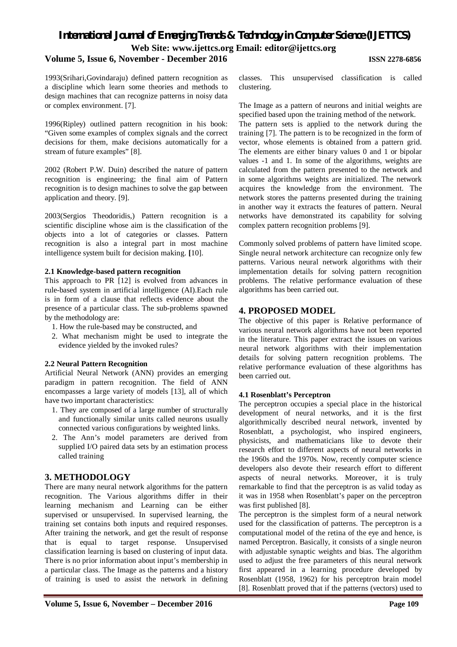## **Volume 5, Issue 6, November - December 2016 ISSN 2278-6856**

1993(Srihari,Govindaraju) defined pattern recognition as a discipline which learn some theories and methods to design machines that can recognize patterns in noisy data or complex environment. [7].

1996(Ripley) outlined pattern recognition in his book: "Given some examples of complex signals and the correct decisions for them, make decisions automatically for a stream of future examples" [8].

2002 (Robert P.W. Duin) described the nature of pattern recognition is engineering; the final aim of Pattern recognition is to design machines to solve the gap between application and theory. [9].

2003(Sergios Theodoridis,) Pattern recognition is a scientific discipline whose aim is the classification of the objects into a lot of categories or classes. Pattern recognition is also a integral part in most machine intelligence system built for decision making. **[**10].

#### **2.1 Knowledge-based pattern recognition**

This approach to PR [12] is evolved from advances in rule-based system in artificial intelligence (AI).Each rule is in form of a clause that reflects evidence about the presence of a particular class. The sub-problems spawned by the methodology are:

- 1. How the rule-based may be constructed, and
- 2. What mechanism might be used to integrate the evidence yielded by the invoked rules?

### **2.2 Neural Pattern Recognition**

Artificial Neural Network (ANN) provides an emerging paradigm in pattern recognition. The field of ANN encompasses a large variety of models [13], all of which have two important characteristics:

- 1. They are composed of a large number of structurally and functionally similar units called neurons usually connected various configurations by weighted links.
- 2. The Ann's model parameters are derived from supplied I/O paired data sets by an estimation process called training

## **3. METHODOLOGY**

There are many neural network algorithms for the pattern recognition. The Various algorithms differ in their learning mechanism and Learning can be either supervised or unsupervised. In supervised learning, the training set contains both inputs and required responses. After training the network, and get the result of response that is equal to target response. Unsupervised classification learning is based on clustering of input data. There is no prior information about input's membership in a particular class. The Image as the patterns and a history of training is used to assist the network in defining classes. This unsupervised classification is called clustering.

The Image as a pattern of neurons and initial weights are specified based upon the training method of the network.

The pattern sets is applied to the network during the training [7]. The pattern is to be recognized in the form of vector, whose elements is obtained from a pattern grid. The elements are either binary values 0 and 1 or bipolar values -1 and 1. In some of the algorithms, weights are calculated from the pattern presented to the network and in some algorithms weights are initialized. The network acquires the knowledge from the environment. The network stores the patterns presented during the training in another way it extracts the features of pattern. Neural networks have demonstrated its capability for solving complex pattern recognition problems [9].

Commonly solved problems of pattern have limited scope. Single neural network architecture can recognize only few patterns. Various neural network algorithms with their implementation details for solving pattern recognition problems. The relative performance evaluation of these algorithms has been carried out.

## **4. PROPOSED MODEL**

The objective of this paper is Relative performance of various neural network algorithms have not been reported in the literature. This paper extract the issues on various neural network algorithms with their implementation details for solving pattern recognition problems. The relative performance evaluation of these algorithms has been carried out.

### **4.1 Rosenblatt's Perceptron**

The perceptron occupies a special place in the historical development of neural networks, and it is the first algorithmically described neural network, invented by Rosenblatt, a psychologist, who inspired engineers, physicists, and mathematicians like to devote their research effort to different aspects of neural networks in the 1960s and the 1970s. Now, recently computer science developers also devote their research effort to different aspects of neural networks. Moreover, it is truly remarkable to find that the perceptron is as valid today as it was in 1958 when Rosenblatt's paper on the perceptron was first published [8].

The perceptron is the simplest form of a neural network used for the classification of patterns. The perceptron is a computational model of the retina of the eye and hence, is named Perceptron. Basically, it consists of a single neuron with adjustable synaptic weights and bias. The algorithm used to adjust the free parameters of this neural network first appeared in a learning procedure developed by Rosenblatt (1958, 1962) for his perceptron brain model [8]. Rosenblatt proved that if the patterns (vectors) used to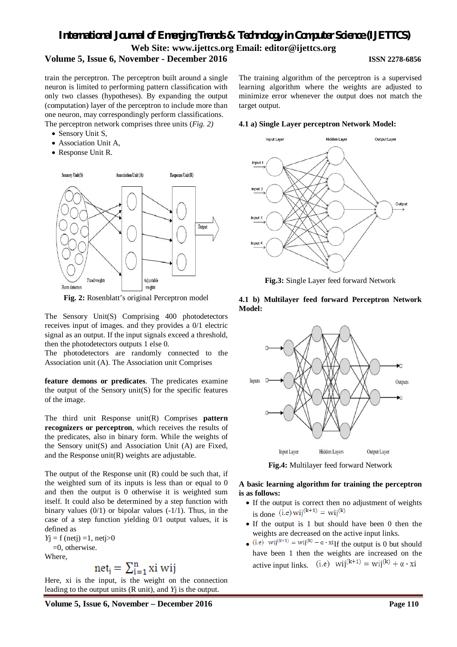## **Volume 5, Issue 6, November - December 2016 ISSN 2278-6856**

train the perceptron. The perceptron built around a single neuron is limited to performing pattern classification with only two classes (hypotheses). By expanding the output (computation) layer of the perceptron to include more than one neuron, may correspondingly perform classifications. The perceptron network comprises three units (*Fig. 2)*

- Sensory Unit S,
- Association Unit A,
- Response Unit R.



**Fig. 2:** Rosenblatt's original Perceptron model

The Sensory Unit(S) Comprising 400 photodetectors receives input of images. and they provides a 0/1 electric signal as an output. If the input signals exceed a threshold, then the photodetectors outputs 1 else 0.

The photodetectors are randomly connected to the Association unit (A). The Association unit Comprises

**feature demons or predicates**. The predicates examine the output of the Sensory unit $(S)$  for the specific features of the image.

The third unit Response unit(R) Comprises **pattern recognizers or perceptron**, which receives the results of the predicates, also in binary form. While the weights of the Sensory unit(S) and Association Unit (A) are Fixed, and the Response unit(R) weights are adjustable.

The output of the Response unit (R) could be such that, if the weighted sum of its inputs is less than or equal to 0 and then the output is 0 otherwise it is weighted sum itself. It could also be determined by a step function with binary values  $(0/1)$  or bipolar values  $(-1/1)$ . Thus, in the case of a step function yielding 0/1 output values, it is defined as

 $Yj = f (netj) = 1, netj > 0$  $=0$ , otherwise.

Where,

$$
net_i = \sum_{i=1}^{n} xi \; wij
$$

Here, xi is the input, is the weight on the connection leading to the output units (R unit), and *Y*j is the output.

The training algorithm of the perceptron is a supervised learning algorithm where the weights are adjusted to minimize error whenever the output does not match the target output.

#### **4.1 a) Single Layer perceptron Network Model:**



**Fig.3:** Single Layer feed forward Network

#### **4.1 b) Multilayer feed forward Perceptron Network Model:**



**Fig.4:** Multilayer feed forward Network

#### **A basic learning algorithm for training the perceptron is as follows:**

- If the output is correct then no adjustment of weights is done  $(i.e)$  wij<sup>(k+1)</sup> = wij<sup>(k)</sup>
- If the output is 1 but should have been 0 then the weights are decreased on the active input links.
- (i.e) wij<sup>(k+1)</sup> = wij<sup>(k)</sup>  $\alpha \cdot$  xi<sub>If</sub> the output is 0 but should have been 1 then the weights are increased on the active input links. (i.e)  $\overline{vij^{(k+1)}} = \overline{vij^{(k)}} + \alpha \cdot \overline{x}i$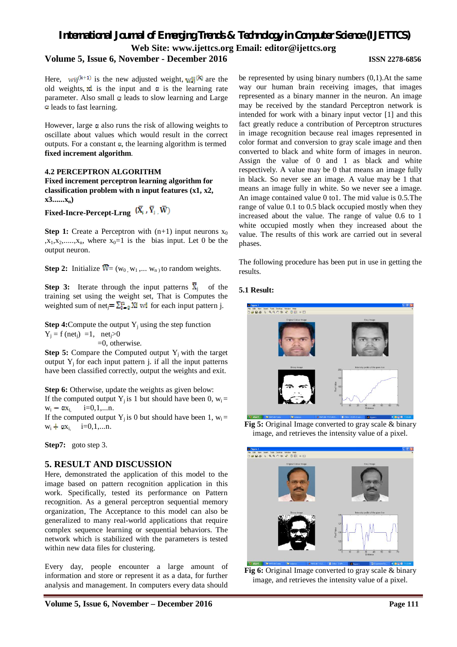## **Volume 5, Issue 6, November - December 2016 ISSN 2278-6856**

Here, wij<sup>(k+1)</sup> is the new adjusted weight,  $\mathbf{w}$ <sup>[k]</sup> are the old weights,  $\vec{x}$  is the input and  $\alpha$  is the learning rate parameter. Also small  $\alpha$  leads to slow learning and Large leads to fast learning.

However, large  $\alpha$  also runs the risk of allowing weights to oscillate about values which would result in the correct outputs. For a constant  $\alpha$ , the learning algorithm is termed **fixed increment algorithm**.

#### **4.2 PERCEPTRON ALGORITHM**

**Fixed increment perceptron learning algorithm for classification problem with n input features (x1, x2, x3......xn)**

**Fixed-Incre-Percept-Lrng** 

**Step 1:** Create a Perceptron with  $(n+1)$  input neurons  $x_0$  $x_1, x_2, \ldots, x_n$ , where  $x_0=1$  is the bias input. Let 0 be the output neuron.

**Step 2:** Initialize  $\overline{W} = (w_0, w_1, \dots, w_n)$  to random weights.

**Step 3:** Iterate through the input patterns  $\overline{X}_i$  of the training set using the weight set, That is Computes the weighted sum of net<sub>i</sub> =  $\sum_{i=0}^{n}$  Xi wi for each input pattern j.

**Step 4:** Compute the output  $Y_i$  using the step function  $Y_i = f (net_i) =1$ , net<sub>i</sub>>0 =0, otherwise.

**Step 5:** Compare the Computed output  $Y_i$  with the target output  $Y_i$  for each input pattern j. if all the input patterns have been classified correctly, output the weights and exit.

**Step 6:** Otherwise, update the weights as given below: If the computed output Y<sub>i</sub> is 1 but should have been 0,  $w_i =$  $w_i - \alpha x_i$ , i=0,1,...n. If the computed output  $Y_i$  is 0 but should have been 1,  $w_i =$  $w_i + \alpha x_i$  i=0,1,...n.

**Step7:** goto step 3.

## **5. RESULT AND DISCUSSION**

Here, demonstrated the application of this model to the image based on pattern recognition application in this work. Specifically, tested its performance on Pattern recognition. As a general perceptron sequential memory organization, The Acceptance to this model can also be generalized to many real-world applications that require complex sequence learning or sequential behaviors. The network which is stabilized with the parameters is tested within new data files for clustering.

Every day, people encounter a large amount of information and store or represent it as a data, for further analysis and management. In computers every data should

be represented by using binary numbers (0,1).At the same way our human brain receiving images, that images represented as a binary manner in the neuron. An image may be received by the standard Perceptron network is intended for work with a binary input vector [1] and this fact greatly reduce a contribution of Perceptron structures in image recognition because real images represented in color format and conversion to gray scale image and then converted to black and white form of images in neuron. Assign the value of 0 and 1 as black and white respectively. A value may be 0 that means an image fully in black. So never see an image. A value may be 1 that means an image fully in white. So we never see a image. An image contained value 0 to1. The mid value is 0.5.The range of value 0.1 to 0.5 black occupied mostly when they increased about the value. The range of value 0.6 to 1 white occupied mostly when they increased about the value. The results of this work are carried out in several phases.

The following procedure has been put in use in getting the results.

### **5.1 Result:**



**Fig 5:** Original Image converted to gray scale & binary image, and retrieves the intensity value of a pixel.



Fig 6: Original Image converted to gray scale & binary image, and retrieves the intensity value of a pixel.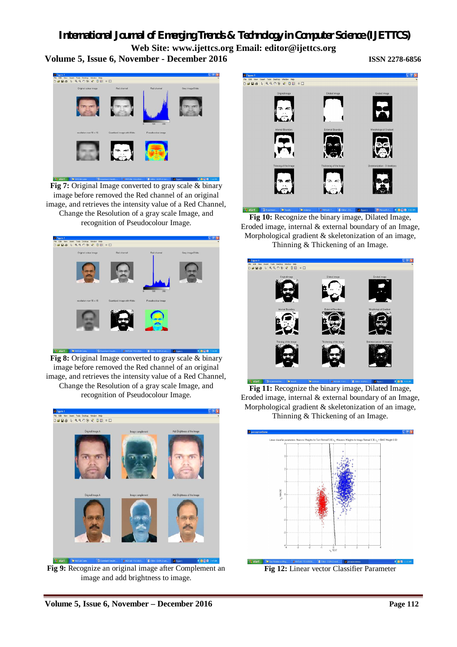**Volume 5, Issue 6, November - December 2016 ISSN 2278-6856**



**Fig 7:** Original Image converted to gray scale & binary image before removed the Red channel of an original image, and retrieves the intensity value of a Red Channel, Change the Resolution of a gray scale Image, and recognition of Pseudocolour Image.



**Fig 8:** Original Image converted to gray scale & binary image before removed the Red channel of an original image, and retrieves the intensity value of a Red Channel, Change the Resolution of a gray scale Image, and recognition of Pseudocolour Image.



**Fig 9:** Recognize an original image after Complement an image and add brightness to image.



 $\overline{B}$ **Fig 10:** Recognize the binary image, Dilated Image, Eroded image, internal & external boundary of an Image, Morphological gradient & skeletonization of an image, Thinning & Thickening of an Image.



**Fig 11:** Recognize the binary image, Dilated Image, Eroded image, internal & external boundary of an Image, Morphological gradient & skeletonization of an image, Thinning & Thickening of an Image.



**Fig 12:** Linear vector Classifier Parameter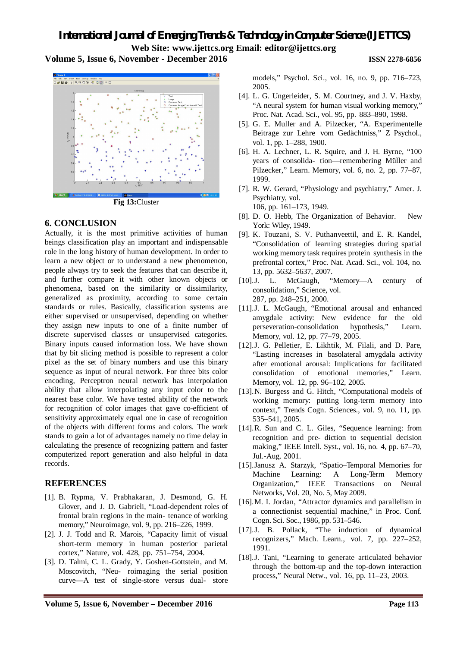**Volume 5, Issue 6, November - December 2016 ISSN 2278-6856**



**Fig 13:**Cluster

## **6. CONCLUSION**

Actually, it is the most primitive activities of human beings classification play an important and indispensable role in the long history of human development. In order to learn a new object or to understand a new phenomenon, people always try to seek the features that can describe it, and further compare it with other known objects or phenomena, based on the similarity or dissimilarity, generalized as proximity, according to some certain standards or rules. Basically, classification systems are either supervised or unsupervised, depending on whether they assign new inputs to one of a finite number of discrete supervised classes or unsupervised categories. Binary inputs caused information loss. We have shown that by bit slicing method is possible to represent a color pixel as the set of binary numbers and use this binary sequence as input of neural network. For three bits color encoding, Perceptron neural network has interpolation ability that allow interpolating any input color to the nearest base color. We have tested ability of the network for recognition of color images that gave co-efficient of sensitivity approximately equal one in case of recognition of the objects with different forms and colors. The work stands to gain a lot of advantages namely no time delay in calculating the presence of recognizing pattern and faster computerized report generation and also helpful in data records.

## **REFERENCES**

- [1]. B. Rypma, V. Prabhakaran, J. Desmond, G. H. Glover, and J. D. Gabrieli, "Load-dependent roles of frontal brain regions in the main- tenance of working memory," Neuroimage, vol. 9, pp. 216–226, 1999.
- [2]. J. J. Todd and R. Marois, "Capacity limit of visual short-term memory in human posterior parietal cortex," Nature, vol. 428, pp. 751–754, 2004.
- [3]. D. Talmi, C. L. Grady, Y. Goshen-Gottstein, and M. Moscovitch, "Neu- roimaging the serial position curve—A test of single-store versus dual- store

models," Psychol. Sci., vol. 16, no. 9, pp. 716–723, 2005.

- [4]. L. G. Ungerleider, S. M. Courtney, and J. V. Haxby, "A neural system for human visual working memory," Proc. Nat. Acad. Sci., vol. 95, pp. 883–890, 1998.
- [5]. G. E. Muller and A. Pilzecker, "A. Experimentelle Beitrage zur Lehre vom Gedächtniss," Z Psychol., vol. 1, pp. 1–288, 1900.
- [6]. H. A. Lechner, L. R. Squire, and J. H. Byrne, "100 years of consolida- tion—remembering Müller and Pilzecker," Learn. Memory, vol. 6, no. 2, pp. 77–87, 1999.
- [7]. R. W. Gerard, "Physiology and psychiatry," Amer. J. Psychiatry, vol. 106, pp. 161–173, 1949.
- [8]. D. O. Hebb, The Organization of Behavior. New York: Wiley, 1949.
- [9]. K. Touzani, S. V. Puthanveettil, and E. R. Kandel, "Consolidation of learning strategies during spatial working memory task requires protein synthesis in the prefrontal cortex," Proc. Nat. Acad. Sci., vol. 104, no. 13, pp. 5632–5637, 2007.
- [10].J. L. McGaugh, "Memory—A century of consolidation," Science, vol. 287, pp. 248–251, 2000.
- [11].J. L. McGaugh, "Emotional arousal and enhanced amygdale activity: New evidence for the old perseveration-consolidation hypothesis," Learn. Memory, vol. 12, pp. 77–79, 2005.
- [12].J. G. Pelletier, E. Likhtik, M. Filali, and D. Pare, "Lasting increases in basolateral amygdala activity after emotional arousal: Implications for facilitated consolidation of emotional memories," Learn. Memory, vol. 12, pp. 96–102, 2005.
- [13].N. Burgess and G. Hitch, "Computational models of working memory: putting long-term memory into context," Trends Cogn. Sciences., vol. 9, no. 11, pp. 535–541, 2005.
- [14].R. Sun and C. L. Giles, "Sequence learning: from recognition and pre- diction to sequential decision making," IEEE Intell. Syst., vol. 16, no. 4, pp. 67–70, Jul.-Aug. 2001.
- [15].Janusz A. Starzyk, "Spatio–Temporal Memories for Machine Learning: A Long-Term Memory Organization," IEEE Transactions on Neural Networks, Vol. 20, No. 5, May 2009.
- [16].M. I. Jordan, "Attractor dynamics and parallelism in a connectionist sequential machine," in Proc. Conf. Cogn. Sci. Soc., 1986, pp. 531–546.
- [17].J. B. Pollack, "The induction of dynamical recognizers," Mach. Learn., vol. 7, pp. 227–252, 1991.
- [18].J. Tani, "Learning to generate articulated behavior through the bottom-up and the top-down interaction process," Neural Netw., vol. 16, pp. 11–23, 2003.